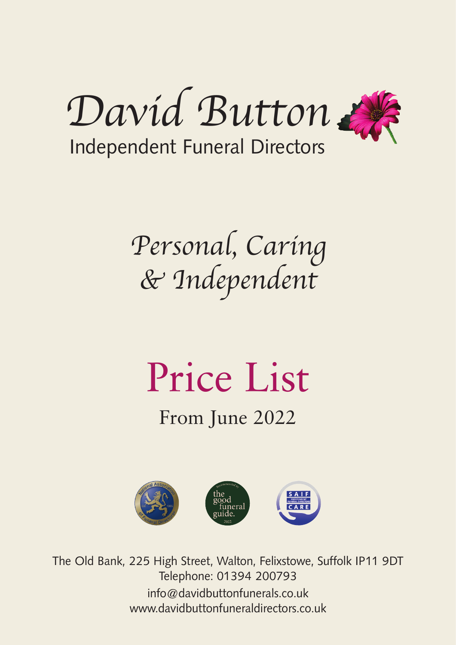

Personal, Caring & Independent

# Price List

From June 2022



The Old Bank, 225 High Street, Walton, Felixstowe, Suffolk IP11 9DT Telephone: 01394 200793 info@davidbuttonfunerals.co.uk www.davidbuttonfuneraldirectors.co.uk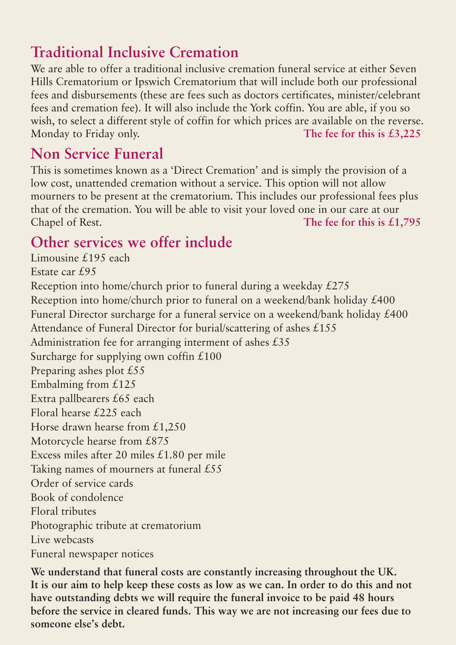## **Traditional Inclusive Cremation**

We are able to offer a traditional inclusive cremation funeral service at either Seven Hills Crematorium or Ipswich Crematorium that will include both our professional fees and disbursements (these are fees such as doctors certificates, minister/celebrant fees and cremation fee). It will also include the York coffin. You are able, if you so wish, to select a different style of coffin for which prices are available on the reverse. Monday to Friday only. **The fee for this is £3,225**

### **Non Service Funeral**

This is sometimes known as a 'Direct Cremation' and is simply the provision of a low cost, unattended cremation without a service. This option will not allow mourners to be present at the crematorium. This includes our professional fees plus that of the cremation. You will be able to visit your loved one in our care at our Chapel of Rest. **The fee for this is £1,795**

#### **Other services we offer include**

Limousine £195 each Estate car £95 Reception into home/church prior to funeral during a weekday £275 Reception into home/church prior to funeral on a weekend/bank holiday £400 Funeral Director surcharge for a funeral service on a weekend/bank holiday £400 Attendance of Funeral Director for burial/scattering of ashes £155 Administration fee for arranging interment of ashes  $£35$ Surcharge for supplying own coffin  $£100$ Preparing ashes plot £55 Embalming from £125 Extra pallbearers £65 each Floral hearse £225 each Horse drawn hearse from  $£1,250$ Motorcycle hearse from £875 Excess miles after 20 miles £1.80 per mile Taking names of mourners at funeral £55 Order of service cards Book of condolence Floral tributes Photographic tribute at crematorium Live webcasts Funeral newspaper notices

**We understand that funeral costs are constantly increasing throughout the UK. It is our aim to help keep these costs as low as we can. In order to do this and not have outstanding debts we will require the funeral invoice to be paid 48 hours before the service in cleared funds. This way we are not increasing our fees due to someone else's debt.**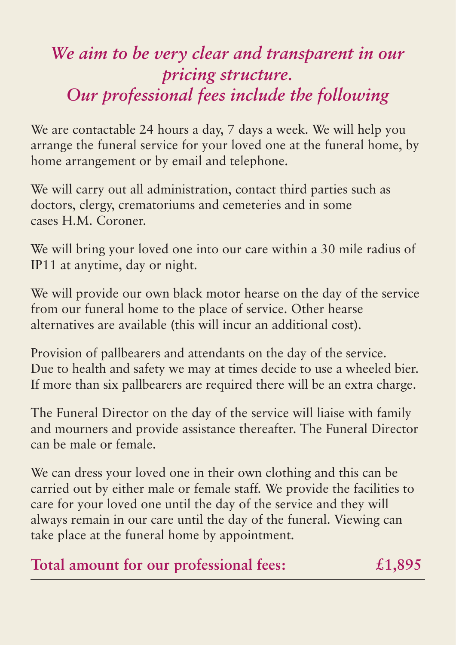# *We aim to be very clear and transparent in our pricing structure. Our professional fees include the following*

We are contactable 24 hours a day, 7 days a week. We will help you arrange the funeral service for your loved one at the funeral home, by home arrangement or by email and telephone.

We will carry out all administration, contact third parties such as doctors, clergy, crematoriums and cemeteries and in some cases H.M. Coroner.

We will bring your loved one into our care within a 30 mile radius of IP11 at anytime, day or night.

We will provide our own black motor hearse on the day of the service from our funeral home to the place of service. Other hearse alternatives are available (this will incur an additional cost).

Provision of pallbearers and attendants on the day of the service. Due to health and safety we may at times decide to use a wheeled bier. If more than six pallbearers are required there will be an extra charge.

The Funeral Director on the day of the service will liaise with family and mourners and provide assistance thereafter. The Funeral Director can be male or female.

We can dress your loved one in their own clothing and this can be carried out by either male or female staff. We provide the facilities to care for your loved one until the day of the service and they will always remain in our care until the day of the funeral. Viewing can take place at the funeral home by appointment.

## **Total amount for our professional fees: £1,895**